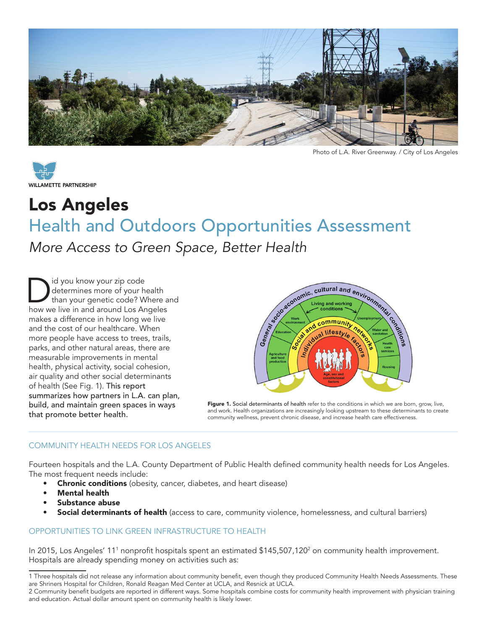



Photo of L.A. River Greenway. / City of Los Angeles

# Los Angeles Health and Outdoors Opportunities Assessment

## *More Access to Green Space, Better Health*

Did you know your zip code<br>determines more of your hand than your genetic code? Whow we live in and around Los Ar determines more of your health than your genetic code? Where and how we live in and around Los Angeles makes a difference in how long we live and the cost of our healthcare. When more people have access to trees, trails, parks, and other natural areas, there are measurable improvements in mental health, physical activity, social cohesion, air quality and other social determinants of health (See Fig. 1). This report summarizes how partners in L.A. can plan, build, and maintain green spaces in ways that promote better health.



Figure 1. Social determinants of health refer to the conditions in which we are born, grow, live, and work. Health organizations are increasingly looking upstream to these determinants to create community wellness, prevent chronic disease, and increase health care effectiveness.

#### COMMUNITY HEALTH NEEDS FOR LOS ANGELES

Fourteen hospitals and the L.A. County Department of Public Health defined community health needs for Los Angeles. The most frequent needs include:

- **Chronic conditions** (obesity, cancer, diabetes, and heart disease)
- **Mental health**
- Substance abuse
- Social determinants of health (access to care, community violence, homelessness, and cultural barriers)

#### OPPORTUNITIES TO LINK GREEN INFRASTRUCTURE TO HEALTH

In 2015, Los Angeles' 111 nonprofit hospitals spent an estimated \$145,507,120<sup>2</sup> on community health improvement. Hospitals are already spending money on activities such as:

<sup>1</sup> Three hospitals did not release any information about community benefit, even though they produced Community Health Needs Assessments. These are Shriners Hospital for Children, Ronald Reagan Med Center at UCLA, and Resnick at UCLA.

<sup>2</sup> Community benefit budgets are reported in different ways. Some hospitals combine costs for community health improvement with physician training and education. Actual dollar amount spent on community health is likely lower.